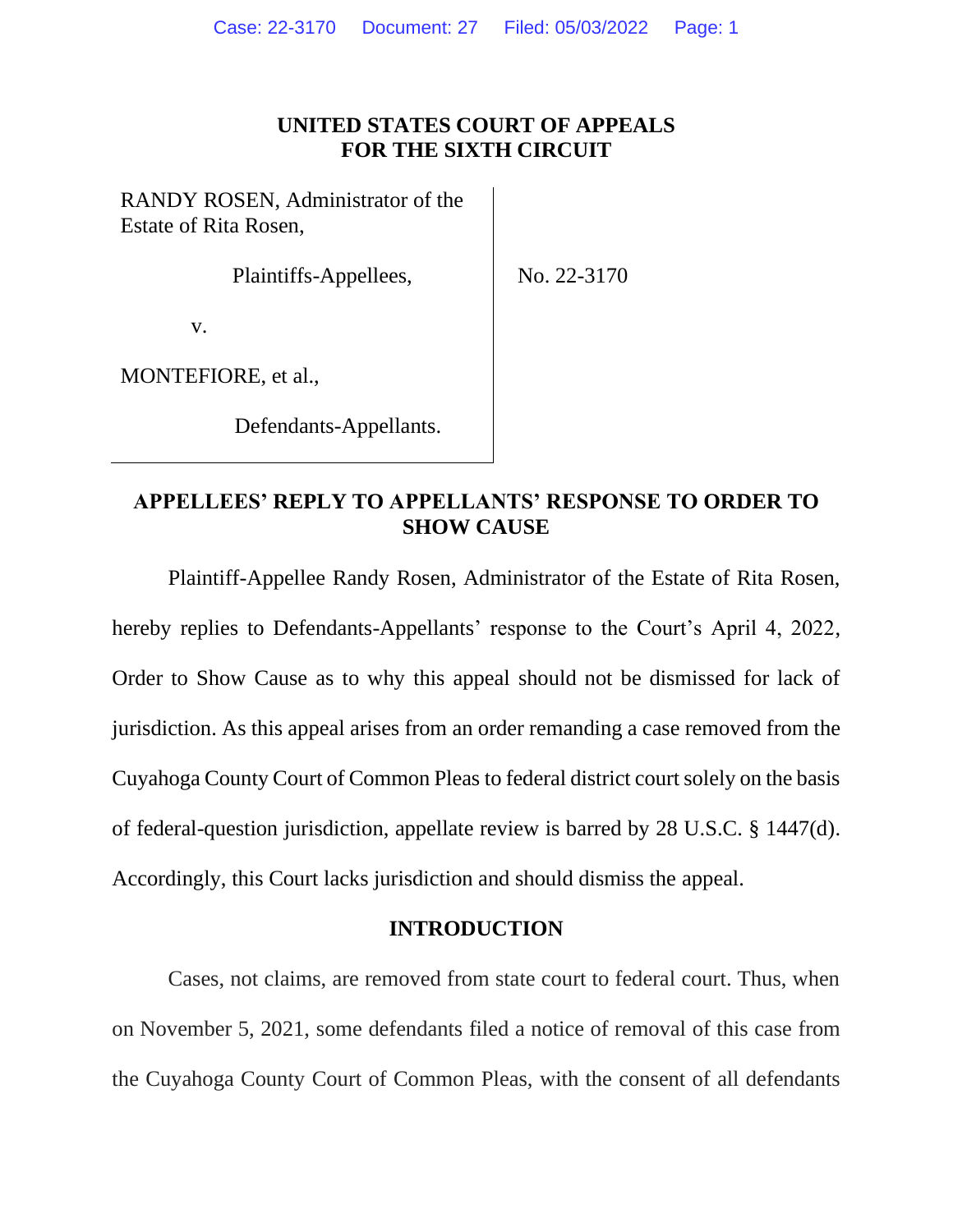## **UNITED STATES COURT OF APPEALS FOR THE SIXTH CIRCUIT**

RANDY ROSEN, Administrator of the Estate of Rita Rosen,

Plaintiffs-Appellees,

No. 22-3170

v.

MONTEFIORE, et al.,

Defendants-Appellants.

## **APPELLEES' REPLY TO APPELLANTS' RESPONSE TO ORDER TO SHOW CAUSE**

Plaintiff-Appellee Randy Rosen, Administrator of the Estate of Rita Rosen, hereby replies to Defendants-Appellants' response to the Court's April 4, 2022, Order to Show Cause as to why this appeal should not be dismissed for lack of jurisdiction. As this appeal arises from an order remanding a case removed from the Cuyahoga County Court of Common Pleas to federal district court solely on the basis of federal-question jurisdiction, appellate review is barred by 28 U.S.C. § 1447(d). Accordingly, this Court lacks jurisdiction and should dismiss the appeal.

#### **INTRODUCTION**

Cases, not claims, are removed from state court to federal court. Thus, when on November 5, 2021, some defendants filed a notice of removal of this case from the Cuyahoga County Court of Common Pleas, with the consent of all defendants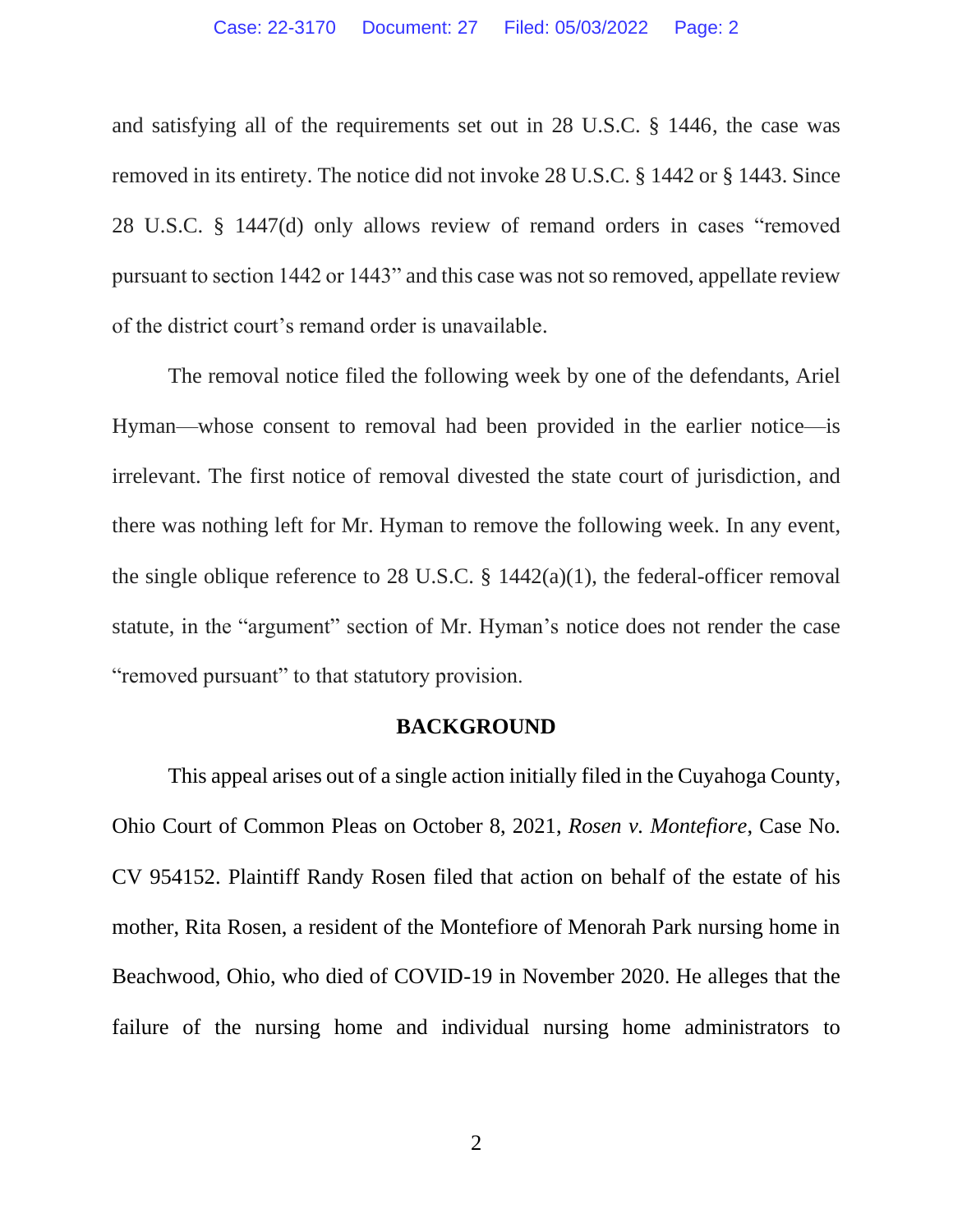and satisfying all of the requirements set out in 28 U.S.C. § 1446, the case was removed in its entirety. The notice did not invoke 28 U.S.C. § 1442 or § 1443. Since 28 U.S.C. § 1447(d) only allows review of remand orders in cases "removed pursuant to section 1442 or 1443" and this case was not so removed, appellate review of the district court's remand order is unavailable.

The removal notice filed the following week by one of the defendants, Ariel Hyman—whose consent to removal had been provided in the earlier notice—is irrelevant. The first notice of removal divested the state court of jurisdiction, and there was nothing left for Mr. Hyman to remove the following week. In any event, the single oblique reference to 28 U.S.C.  $\S$  1442(a)(1), the federal-officer removal statute, in the "argument" section of Mr. Hyman's notice does not render the case "removed pursuant" to that statutory provision.

#### **BACKGROUND**

This appeal arises out of a single action initially filed in the Cuyahoga County, Ohio Court of Common Pleas on October 8, 2021, *Rosen v. Montefiore*, Case No. CV 954152. Plaintiff Randy Rosen filed that action on behalf of the estate of his mother, Rita Rosen, a resident of the Montefiore of Menorah Park nursing home in Beachwood, Ohio, who died of COVID-19 in November 2020. He alleges that the failure of the nursing home and individual nursing home administrators to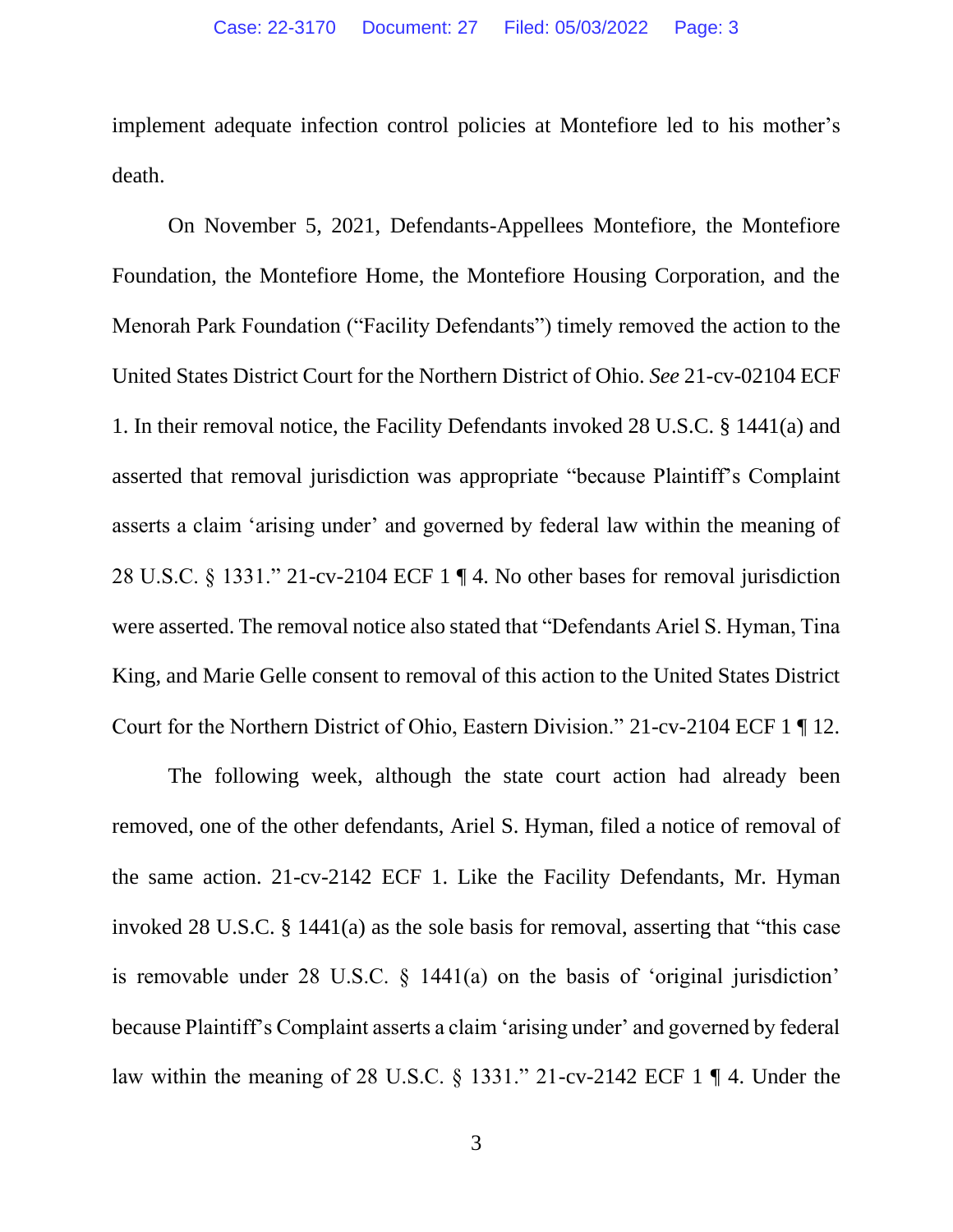implement adequate infection control policies at Montefiore led to his mother's death.

On November 5, 2021, Defendants-Appellees Montefiore, the Montefiore Foundation, the Montefiore Home, the Montefiore Housing Corporation, and the Menorah Park Foundation ("Facility Defendants") timely removed the action to the United States District Court for the Northern District of Ohio. *See* 21-cv-02104 ECF 1. In their removal notice, the Facility Defendants invoked 28 U.S.C. § 1441(a) and asserted that removal jurisdiction was appropriate "because Plaintiff's Complaint asserts a claim 'arising under' and governed by federal law within the meaning of 28 U.S.C. § 1331." 21-cv-2104 ECF 1 ¶ 4. No other bases for removal jurisdiction were asserted. The removal notice also stated that "Defendants Ariel S. Hyman, Tina King, and Marie Gelle consent to removal of this action to the United States District Court for the Northern District of Ohio, Eastern Division." 21-cv-2104 ECF 1 ¶ 12.

The following week, although the state court action had already been removed, one of the other defendants, Ariel S. Hyman, filed a notice of removal of the same action. 21-cv-2142 ECF 1. Like the Facility Defendants, Mr. Hyman invoked 28 U.S.C. § 1441(a) as the sole basis for removal, asserting that "this case is removable under 28 U.S.C. § 1441(a) on the basis of 'original jurisdiction' because Plaintiff's Complaint asserts a claim 'arising under' and governed by federal law within the meaning of 28 U.S.C. § 1331." 21-cv-2142 ECF 1 ¶ 4. Under the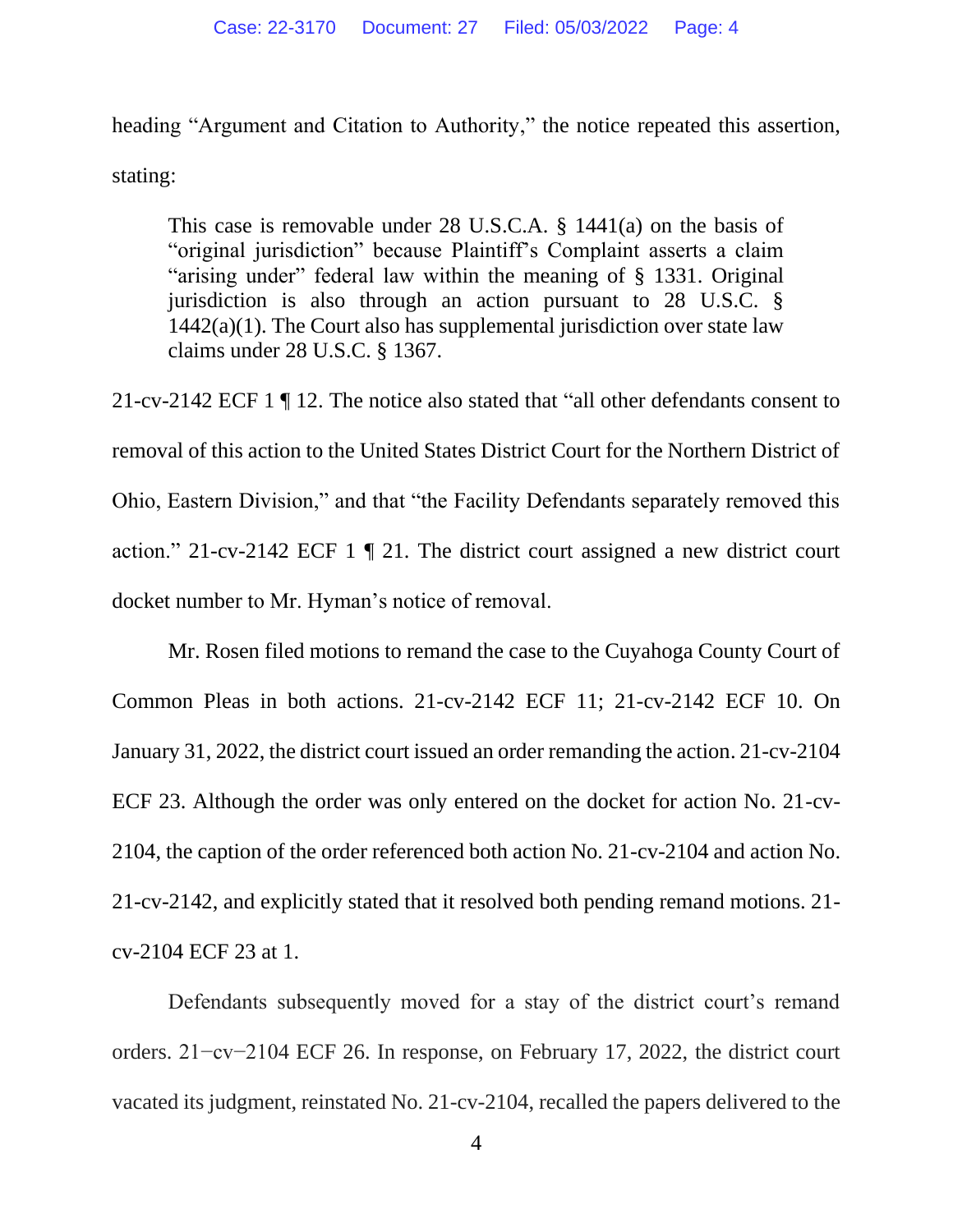heading "Argument and Citation to Authority," the notice repeated this assertion, stating:

This case is removable under 28 U.S.C.A. § 1441(a) on the basis of "original jurisdiction" because Plaintiff's Complaint asserts a claim "arising under" federal law within the meaning of § 1331. Original jurisdiction is also through an action pursuant to 28 U.S.C. § 1442(a)(1). The Court also has supplemental jurisdiction over state law claims under 28 U.S.C. § 1367.

21-cv-2142 ECF 1 ¶ 12. The notice also stated that "all other defendants consent to removal of this action to the United States District Court for the Northern District of Ohio, Eastern Division," and that "the Facility Defendants separately removed this action." 21-cv-2142 ECF 1 ¶ 21. The district court assigned a new district court docket number to Mr. Hyman's notice of removal.

Mr. Rosen filed motions to remand the case to the Cuyahoga County Court of Common Pleas in both actions. 21-cv-2142 ECF 11; 21-cv-2142 ECF 10. On January 31, 2022, the district court issued an order remanding the action. 21-cv-2104 ECF 23. Although the order was only entered on the docket for action No. 21-cv-2104, the caption of the order referenced both action No. 21-cv-2104 and action No. 21-cv-2142, and explicitly stated that it resolved both pending remand motions. 21 cv-2104 ECF 23 at 1.

Defendants subsequently moved for a stay of the district court's remand orders. 21−cv−2104 ECF 26. In response, on February 17, 2022, the district court vacated its judgment, reinstated No. 21-cv-2104, recalled the papers delivered to the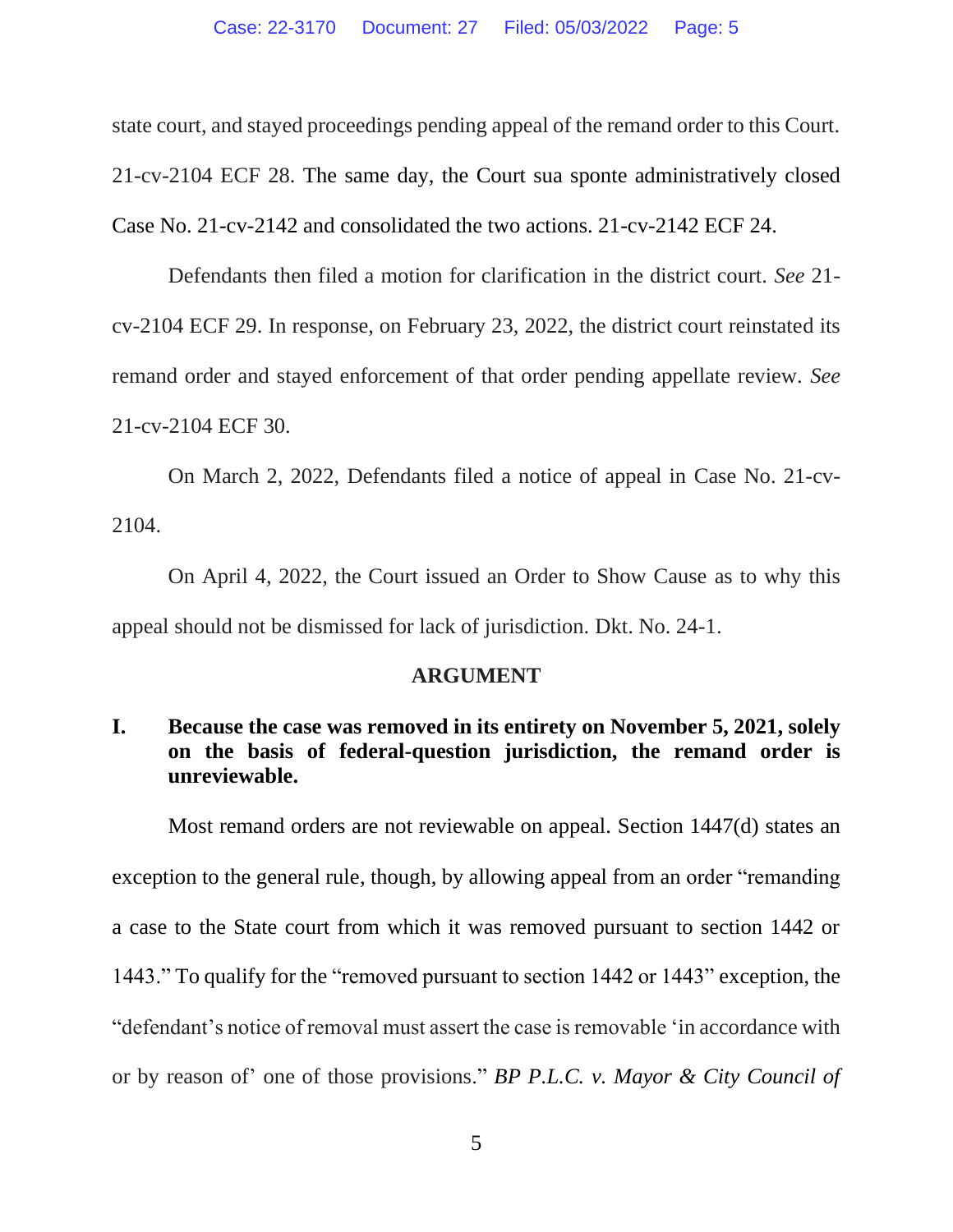state court, and stayed proceedings pending appeal of the remand order to this Court. 21-cv-2104 ECF 28. The same day, the Court sua sponte administratively closed Case No. 21-cv-2142 and consolidated the two actions. 21-cv-2142 ECF 24.

Defendants then filed a motion for clarification in the district court. *See* 21 cv-2104 ECF 29. In response, on February 23, 2022, the district court reinstated its remand order and stayed enforcement of that order pending appellate review. *See*  21-cv-2104 ECF 30.

On March 2, 2022, Defendants filed a notice of appeal in Case No. 21-cv-2104.

On April 4, 2022, the Court issued an Order to Show Cause as to why this appeal should not be dismissed for lack of jurisdiction. Dkt. No. 24-1.

### **ARGUMENT**

## **I. Because the case was removed in its entirety on November 5, 2021, solely on the basis of federal-question jurisdiction, the remand order is unreviewable.**

Most remand orders are not reviewable on appeal. Section 1447(d) states an exception to the general rule, though, by allowing appeal from an order "remanding a case to the State court from which it was removed pursuant to section 1442 or 1443." To qualify for the "removed pursuant to section 1442 or 1443" exception, the "defendant's notice of removal must assert the case is removable 'in accordance with or by reason of' one of those provisions." *BP P.L.C. v. Mayor & City Council of*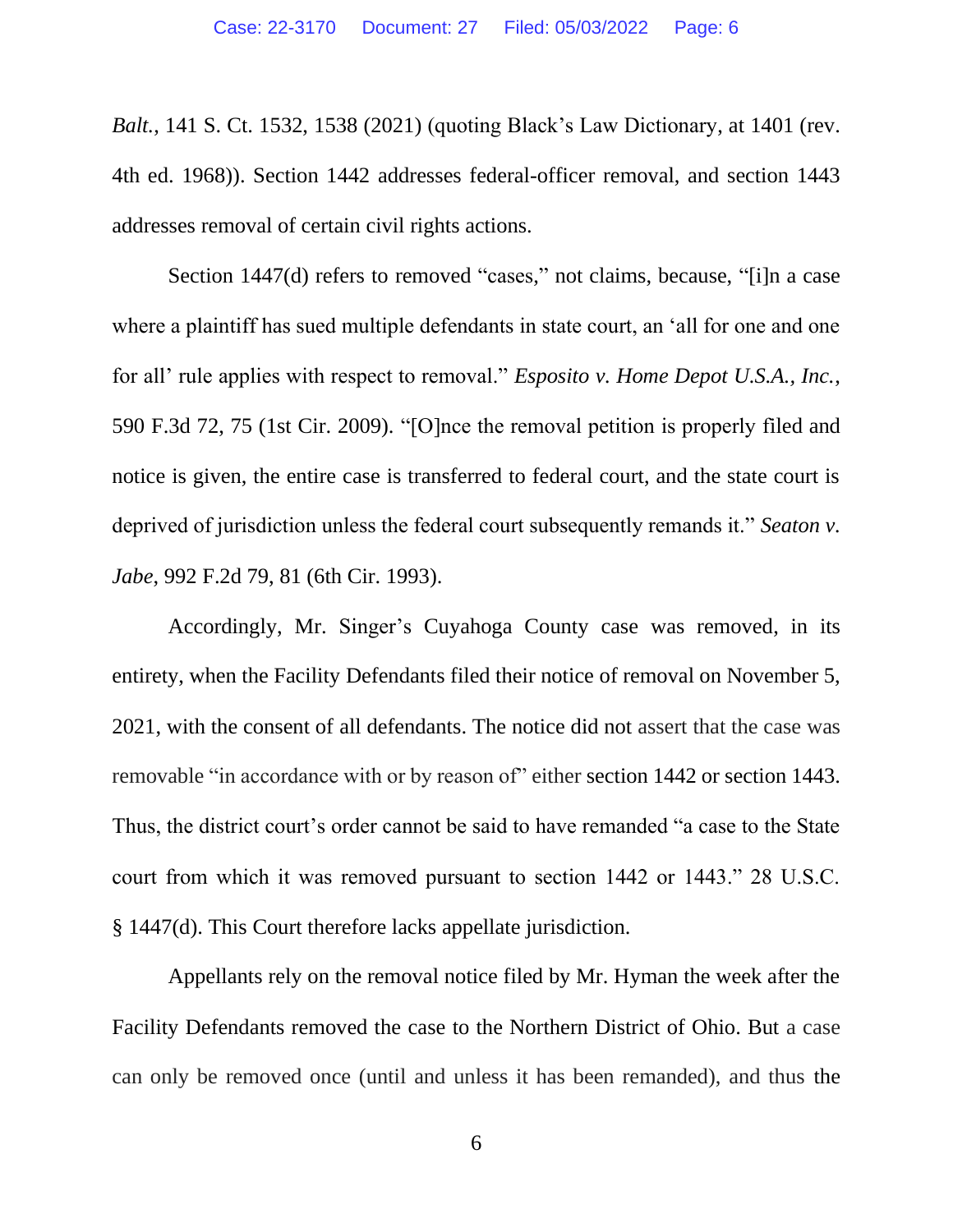*Balt.*, 141 S. Ct. 1532, 1538 (2021) (quoting Black's Law Dictionary, at 1401 (rev. 4th ed. 1968)). Section 1442 addresses federal-officer removal, and section 1443 addresses removal of certain civil rights actions.

Section 1447(d) refers to removed "cases," not claims, because, "[i]n a case where a plaintiff has sued multiple defendants in state court, an 'all for one and one for all' rule applies with respect to removal." *Esposito v. Home Depot U.S.A., Inc.*, 590 F.3d 72, 75 (1st Cir. 2009). "[O]nce the removal petition is properly filed and notice is given, the entire case is transferred to federal court, and the state court is deprived of jurisdiction unless the federal court subsequently remands it." *Seaton v. Jabe*, 992 F.2d 79, 81 (6th Cir. 1993).

Accordingly, Mr. Singer's Cuyahoga County case was removed, in its entirety, when the Facility Defendants filed their notice of removal on November 5, 2021, with the consent of all defendants. The notice did not assert that the case was removable "in accordance with or by reason of" either section 1442 or section 1443. Thus, the district court's order cannot be said to have remanded "a case to the State court from which it was removed pursuant to section 1442 or 1443." 28 U.S.C. § 1447(d). This Court therefore lacks appellate jurisdiction.

Appellants rely on the removal notice filed by Mr. Hyman the week after the Facility Defendants removed the case to the Northern District of Ohio. But a case can only be removed once (until and unless it has been remanded), and thus the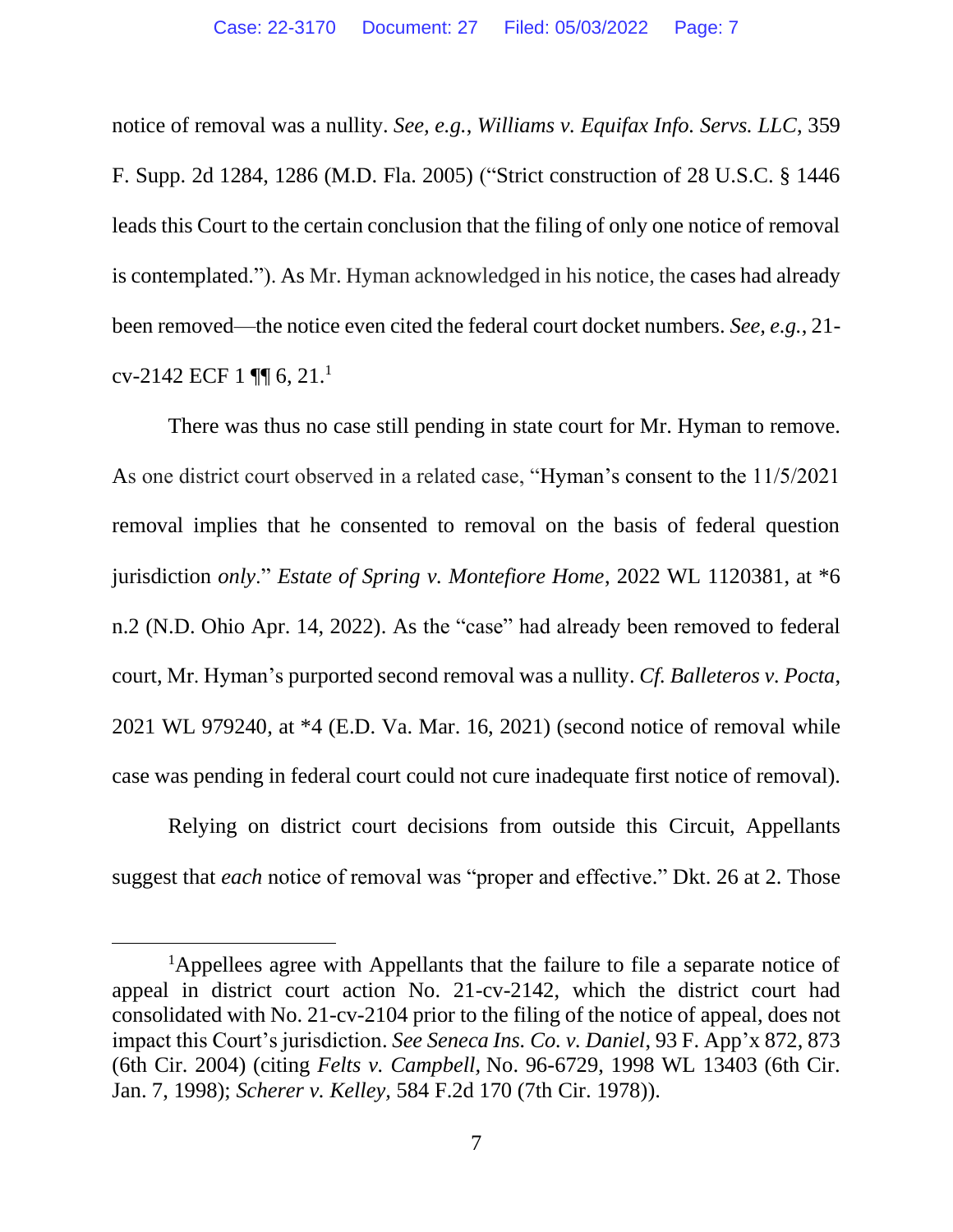notice of removal was a nullity. *See, e.g.*, *Williams v. Equifax Info. Servs. LLC*, 359 F. Supp. 2d 1284, 1286 (M.D. Fla. 2005) ("Strict construction of 28 U.S.C. § 1446 leads this Court to the certain conclusion that the filing of only one notice of removal is contemplated."). As Mr. Hyman acknowledged in his notice, the cases had already been removed—the notice even cited the federal court docket numbers. *See, e.g.*, 21 cv-2142 ECF 1 ¶¶ 6, 21.<sup>1</sup>

There was thus no case still pending in state court for Mr. Hyman to remove. As one district court observed in a related case, "Hyman's consent to the 11/5/2021 removal implies that he consented to removal on the basis of federal question jurisdiction *only*." *Estate of Spring v. Montefiore Home*, 2022 WL 1120381, at \*6 n.2 (N.D. Ohio Apr. 14, 2022). As the "case" had already been removed to federal court, Mr. Hyman's purported second removal was a nullity. *Cf. Balleteros v. Pocta*, 2021 WL 979240, at \*4 (E.D. Va. Mar. 16, 2021) (second notice of removal while case was pending in federal court could not cure inadequate first notice of removal).

Relying on district court decisions from outside this Circuit, Appellants suggest that *each* notice of removal was "proper and effective." Dkt. 26 at 2. Those

<sup>&</sup>lt;sup>1</sup>Appellees agree with Appellants that the failure to file a separate notice of appeal in district court action No. 21-cv-2142, which the district court had consolidated with No. 21-cv-2104 prior to the filing of the notice of appeal, does not impact this Court's jurisdiction. *See Seneca Ins. Co. v. Daniel*, 93 F. App'x 872, 873 (6th Cir. 2004) (citing *Felts v. Campbell,* [No. 96-6729, 1998 WL 13403 \(6th Cir.](https://1.next.westlaw.com/Link/Document/FullText?findType=Y&serNum=1998034668&pubNum=0000999&originatingDoc=I8c3aff148a0011d9ac45f46c5ea084a3&refType=RP&originationContext=document&transitionType=DocumentItem&ppcid=746a5130e88d47dc94a26d85d1bf6a8b&contextData=(sc.Search))  [Jan. 7, 1998\);](https://1.next.westlaw.com/Link/Document/FullText?findType=Y&serNum=1998034668&pubNum=0000999&originatingDoc=I8c3aff148a0011d9ac45f46c5ea084a3&refType=RP&originationContext=document&transitionType=DocumentItem&ppcid=746a5130e88d47dc94a26d85d1bf6a8b&contextData=(sc.Search)) *Scherer v. Kelley,* [584 F.2d 170 \(7th Cir.](https://1.next.westlaw.com/Link/Document/FullText?findType=Y&serNum=1978120419&pubNum=350&originatingDoc=I8c3aff148a0011d9ac45f46c5ea084a3&refType=RP&originationContext=document&transitionType=DocumentItem&ppcid=746a5130e88d47dc94a26d85d1bf6a8b&contextData=(sc.Search)) 1978)).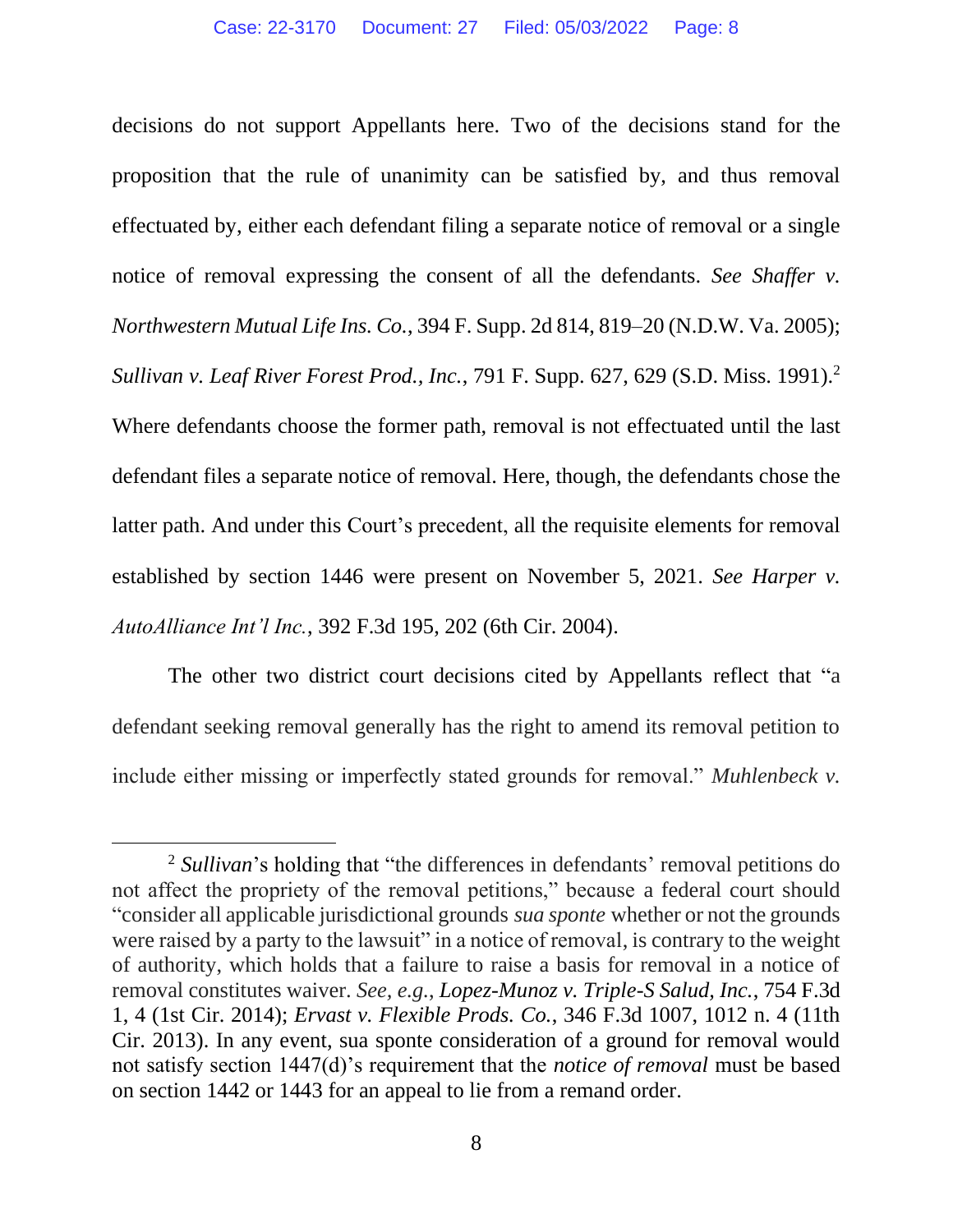decisions do not support Appellants here. Two of the decisions stand for the proposition that the rule of unanimity can be satisfied by, and thus removal effectuated by, either each defendant filing a separate notice of removal or a single notice of removal expressing the consent of all the defendants. *See Shaffer v. Northwestern Mutual Life Ins. Co.*, 394 F. Supp. 2d 814, 819–20 (N.D.W. Va. 2005); *Sullivan v. Leaf River Forest Prod., Inc.*, 791 F. Supp. 627, 629 (S.D. Miss. 1991).<sup>2</sup> Where defendants choose the former path, removal is not effectuated until the last defendant files a separate notice of removal. Here, though, the defendants chose the latter path. And under this Court's precedent, all the requisite elements for removal established by section 1446 were present on November 5, 2021. *See Harper v. AutoAlliance Int'l Inc.*, 392 F.3d 195, 202 (6th Cir. 2004).

The other two district court decisions cited by Appellants reflect that "a defendant seeking removal generally has the right to amend its removal petition to include either missing or imperfectly stated grounds for removal." *Muhlenbeck v.* 

<sup>2</sup> *Sullivan*'s holding that "the differences in defendants' removal petitions do not affect the propriety of the removal petitions," because a federal court should "consider all applicable jurisdictional grounds *sua sponte* whether or not the grounds were raised by a party to the lawsuit" in a notice of removal, is contrary to the weight of authority, which holds that a failure to raise a basis for removal in a notice of removal constitutes waiver. *See, e.g.*, *Lopez-Munoz v. Triple-S Salud, Inc.*, 754 F.3d 1, 4 (1st Cir. 2014); *Ervast v. Flexible Prods. Co.*, 346 F.3d 1007, 1012 n. 4 (11th Cir. 2013). In any event, sua sponte consideration of a ground for removal would not satisfy section 1447(d)'s requirement that the *notice of removal* must be based on section 1442 or 1443 for an appeal to lie from a remand order.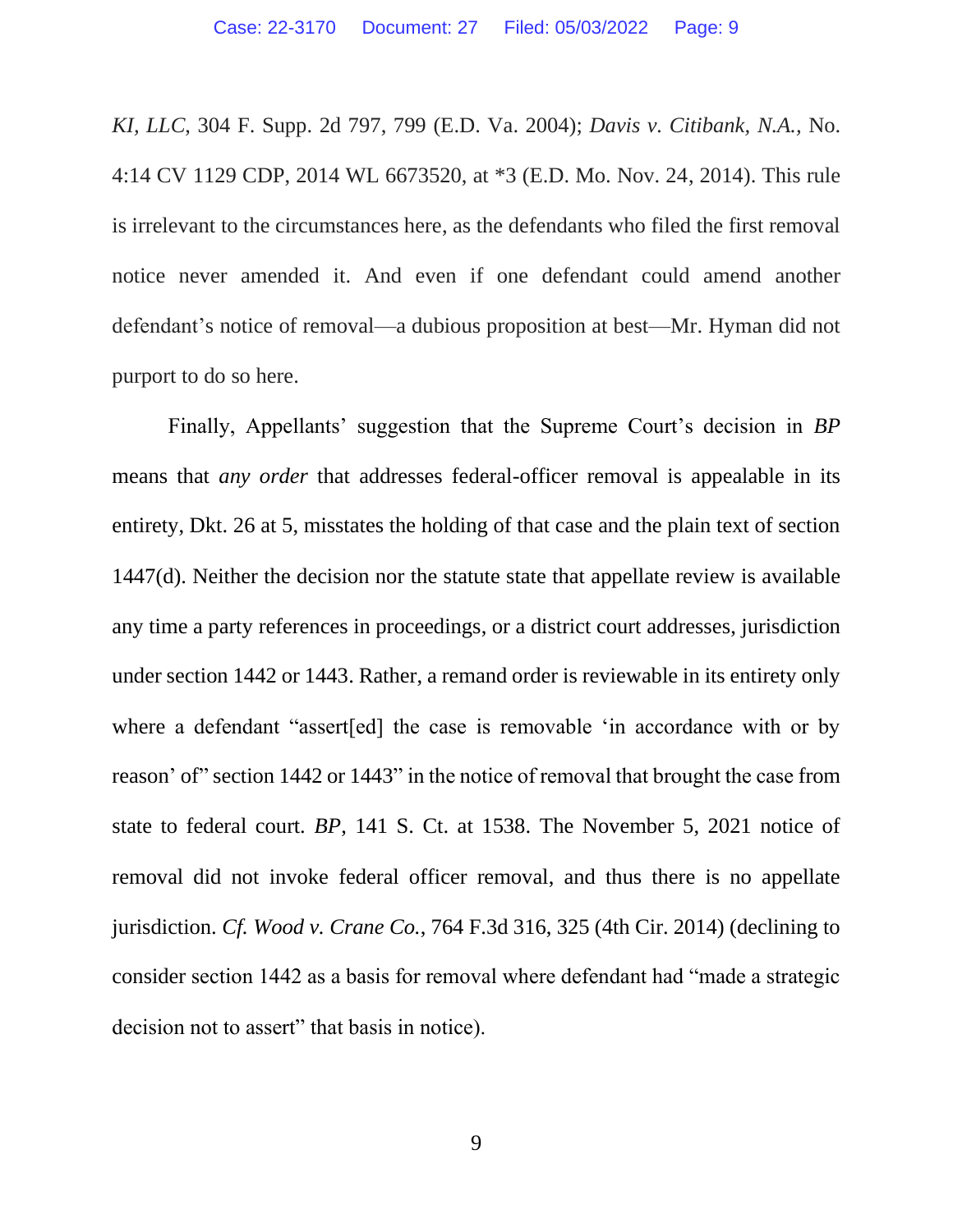*KI, LLC*, 304 F. Supp. 2d 797, 799 (E.D. Va. 2004); *Davis v. Citibank, N.A.,* No. 4:14 CV 1129 CDP, 2014 WL 6673520, at \*3 (E.D. Mo. Nov. 24, 2014). This rule is irrelevant to the circumstances here, as the defendants who filed the first removal notice never amended it. And even if one defendant could amend another defendant's notice of removal—a dubious proposition at best—Mr. Hyman did not purport to do so here.

Finally, Appellants' suggestion that the Supreme Court's decision in *BP*  means that *any order* that addresses federal-officer removal is appealable in its entirety, Dkt. 26 at 5, misstates the holding of that case and the plain text of section 1447(d). Neither the decision nor the statute state that appellate review is available any time a party references in proceedings, or a district court addresses, jurisdiction under section 1442 or 1443. Rather, a remand order is reviewable in its entirety only where a defendant "assert[ed] the case is removable 'in accordance with or by reason' of" section 1442 or 1443" in the notice of removal that brought the case from state to federal court. *BP*, 141 S. Ct. at 1538. The November 5, 2021 notice of removal did not invoke federal officer removal, and thus there is no appellate jurisdiction. *Cf. Wood v. Crane Co.*, 764 F.3d 316, 325 (4th Cir. 2014) (declining to consider section 1442 as a basis for removal where defendant had "made a strategic decision not to assert" that basis in notice).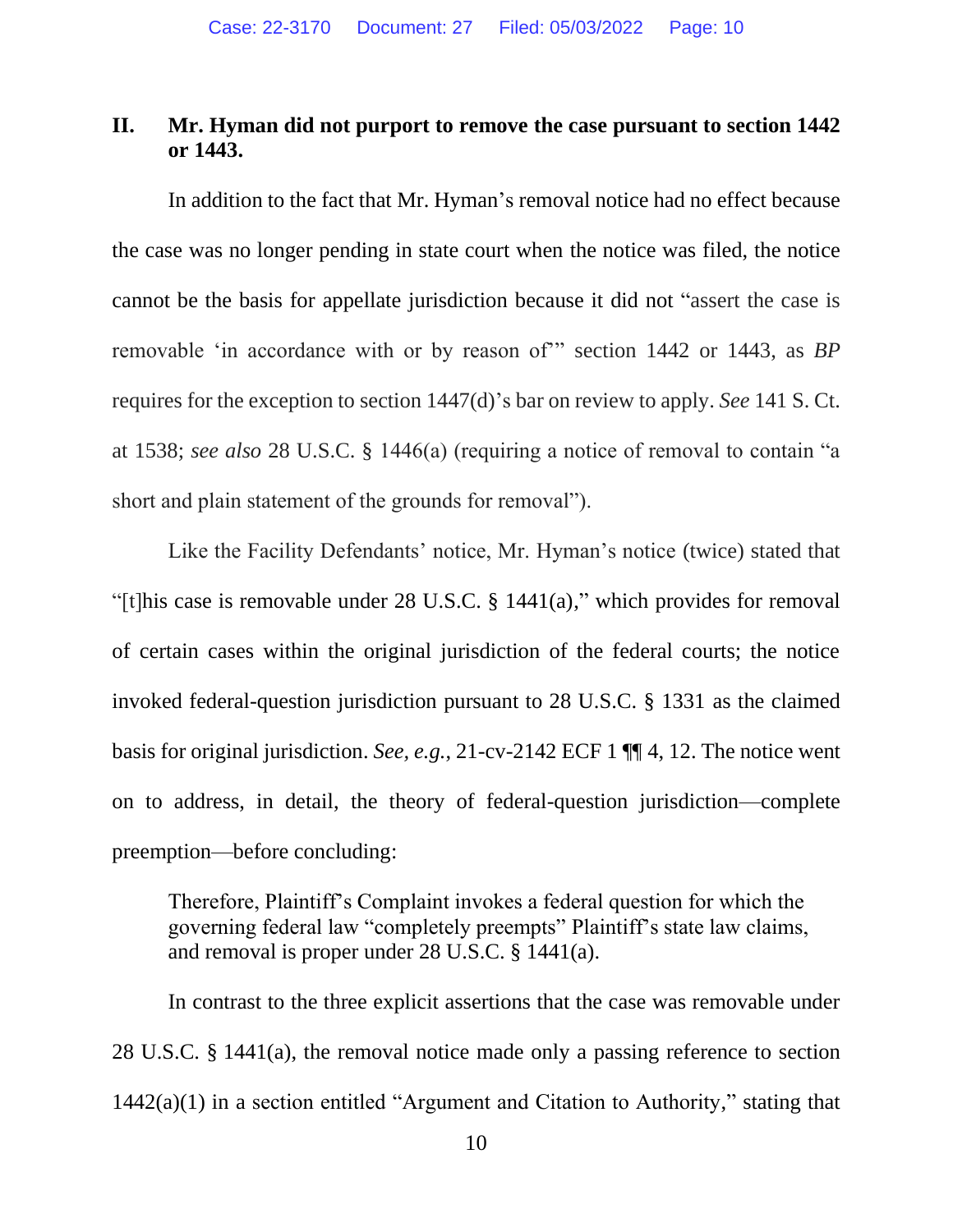## **II. Mr. Hyman did not purport to remove the case pursuant to section 1442 or 1443.**

In addition to the fact that Mr. Hyman's removal notice had no effect because the case was no longer pending in state court when the notice was filed, the notice cannot be the basis for appellate jurisdiction because it did not "assert the case is removable 'in accordance with or by reason of'" section 1442 or 1443, as *BP*  requires for the exception to section 1447(d)'s bar on review to apply. *See* 141 S. Ct. at 1538; *see also* 28 U.S.C. § 1446(a) (requiring a notice of removal to contain "a short and plain statement of the grounds for removal").

Like the Facility Defendants' notice, Mr. Hyman's notice (twice) stated that "[t]his case is removable under 28 U.S.C. § 1441(a)," which provides for removal of certain cases within the original jurisdiction of the federal courts; the notice invoked federal-question jurisdiction pursuant to 28 U.S.C. § 1331 as the claimed basis for original jurisdiction. *See, e.g.*, 21-cv-2142 ECF 1 ¶¶ 4, 12. The notice went on to address, in detail, the theory of federal-question jurisdiction—complete preemption—before concluding:

Therefore, Plaintiff's Complaint invokes a federal question for which the governing federal law "completely preempts" Plaintiff's state law claims, and removal is proper under 28 U.S.C. § 1441(a).

In contrast to the three explicit assertions that the case was removable under 28 U.S.C. § 1441(a), the removal notice made only a passing reference to section 1442(a)(1) in a section entitled "Argument and Citation to Authority," stating that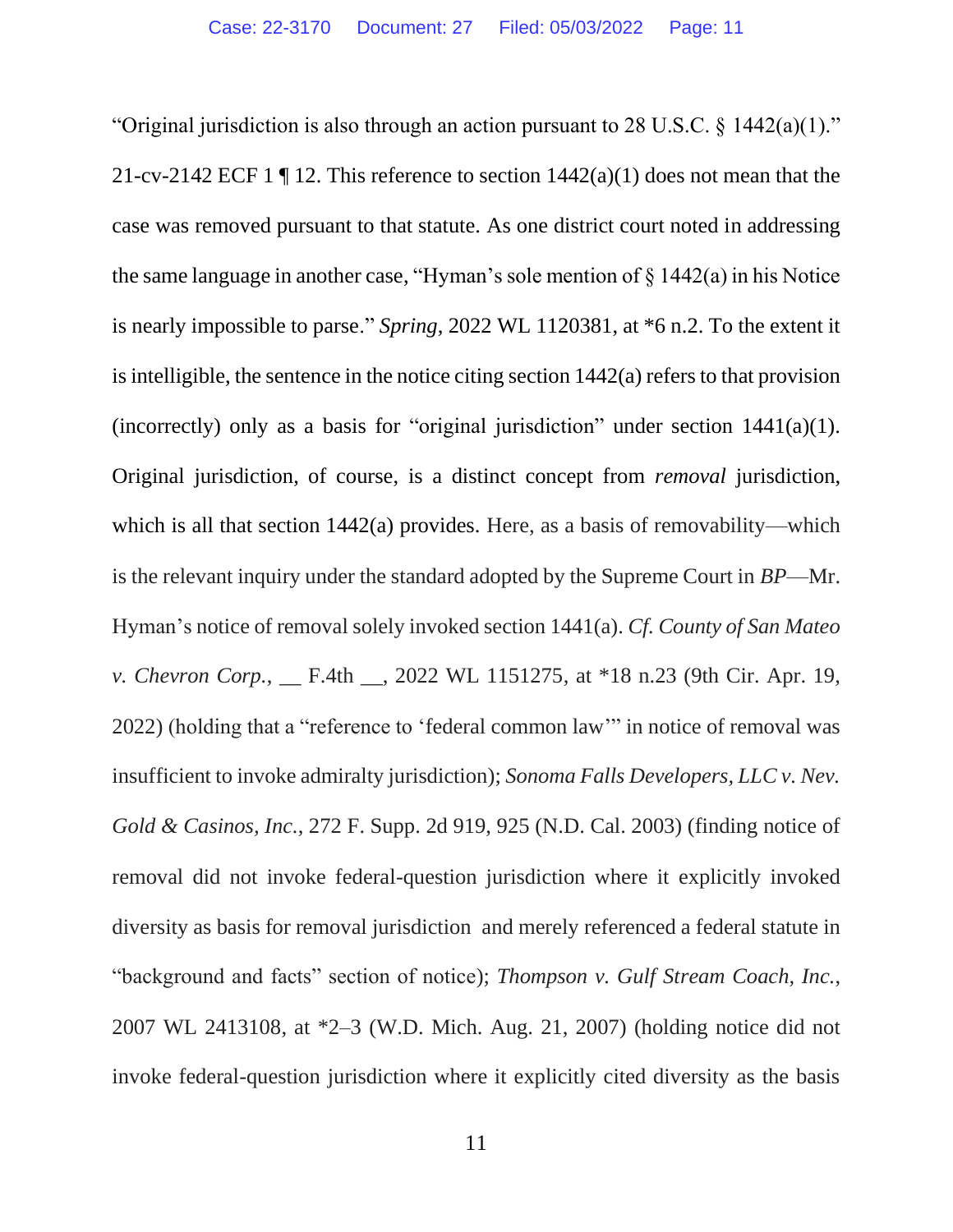"Original jurisdiction is also through an action pursuant to 28 U.S.C. § 1442(a)(1)." 21-cv-2142 ECF 1  $\P$  12. This reference to section 1442(a)(1) does not mean that the case was removed pursuant to that statute. As one district court noted in addressing the same language in another case, "Hyman's sole mention of § 1442(a) in his Notice is nearly impossible to parse." *Spring*, 2022 WL 1120381, at \*6 n.2. To the extent it is intelligible, the sentence in the notice citing section 1442(a) refers to that provision (incorrectly) only as a basis for "original jurisdiction" under section  $1441(a)(1)$ . Original jurisdiction, of course, is a distinct concept from *removal* jurisdiction, which is all that section 1442(a) provides. Here, as a basis of removability—which is the relevant inquiry under the standard adopted by the Supreme Court in *BP*—Mr. Hyman's notice of removal solely invoked section 1441(a). *Cf. County of San Mateo v. Chevron Corp.*, <u>\_\_\_</u> F.4th \_\_\_, 2022 WL 1151275, at \*18 n.23 (9th Cir. Apr. 19, 2022) (holding that a "reference to 'federal common law'" in notice of removal was insufficient to invoke admiralty jurisdiction); *Sonoma Falls Developers, LLC v. Nev. Gold & Casinos, Inc.*, 272 F. Supp. 2d 919, 925 (N.D. Cal. 2003) (finding notice of removal did not invoke federal-question jurisdiction where it explicitly invoked diversity as basis for removal jurisdiction and merely referenced a federal statute in "background and facts" section of notice); *Thompson v. Gulf Stream Coach, Inc.*, 2007 WL 2413108, at \*2–3 (W.D. Mich. Aug. 21, 2007) (holding notice did not invoke federal-question jurisdiction where it explicitly cited diversity as the basis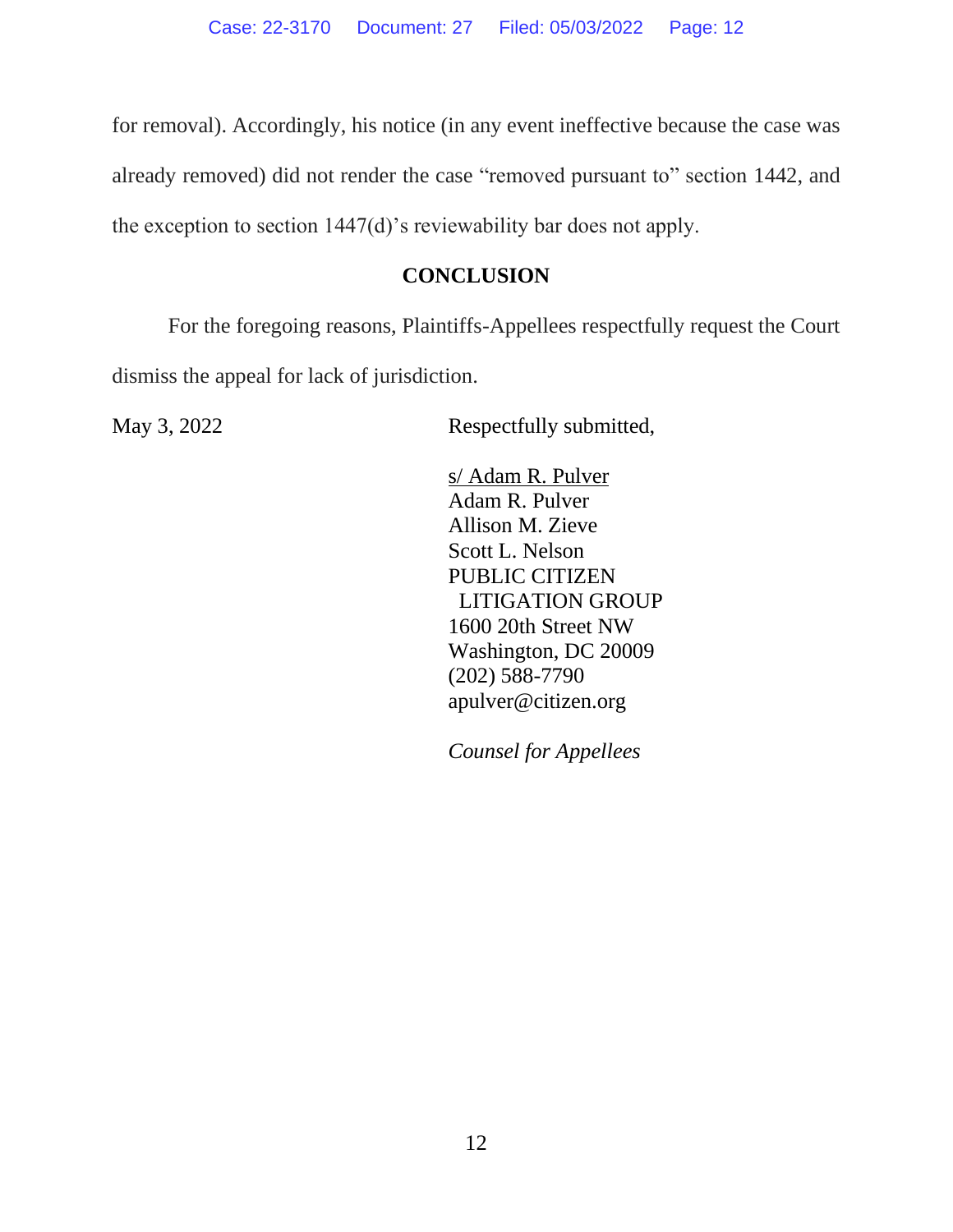for removal). Accordingly, his notice (in any event ineffective because the case was already removed) did not render the case "removed pursuant to" section 1442, and the exception to section 1447(d)'s reviewability bar does not apply.

## **CONCLUSION**

For the foregoing reasons, Plaintiffs-Appellees respectfully request the Court dismiss the appeal for lack of jurisdiction.

May 3, 2022 Respectfully submitted,

s/ Adam R. Pulver Adam R. Pulver Allison M. Zieve Scott L. Nelson PUBLIC CITIZEN LITIGATION GROUP 1600 20th Street NW Washington, DC 20009 (202) 588-7790 apulver@citizen.org

*Counsel for Appellees*